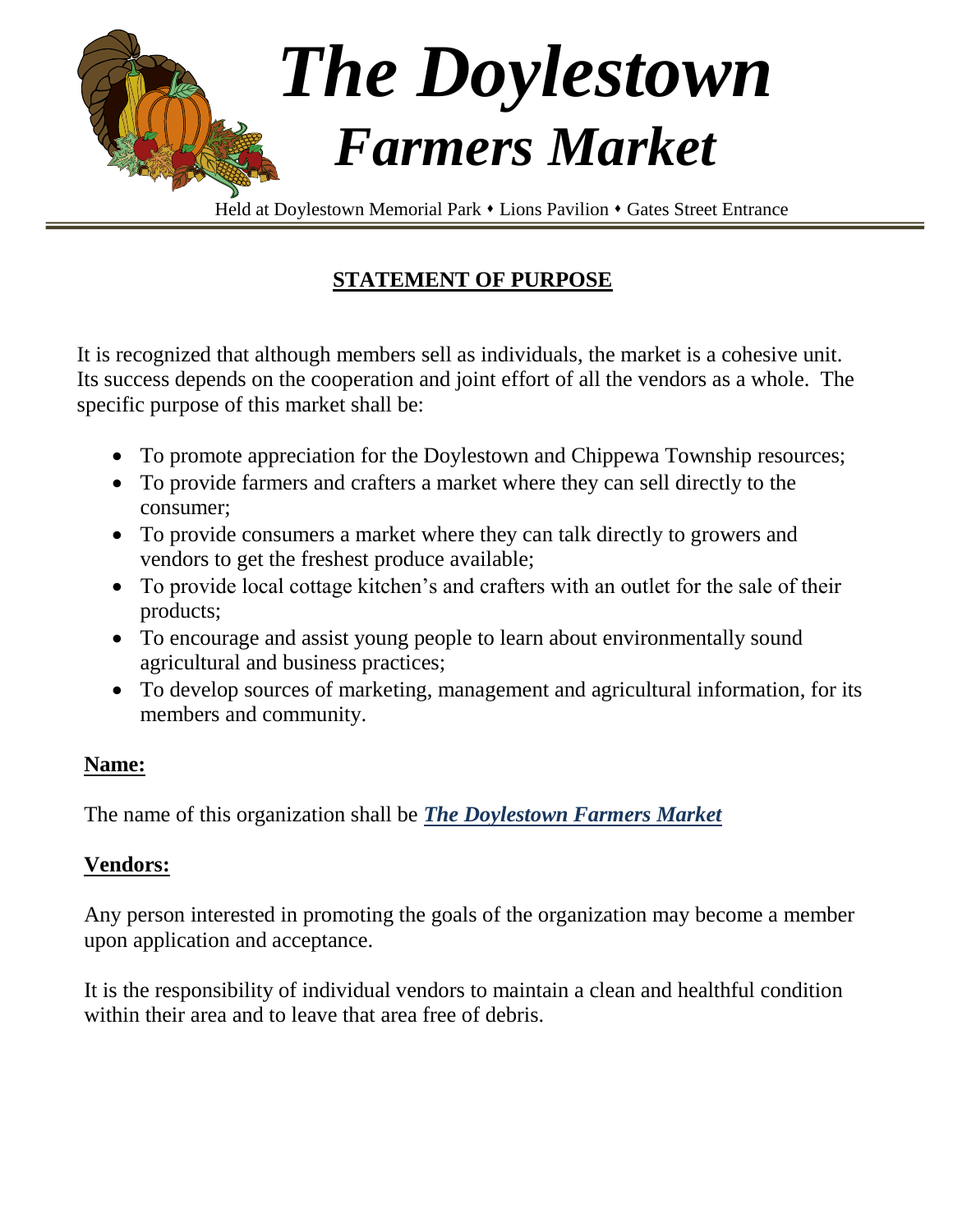

## **STATEMENT OF PURPOSE**

It is recognized that although members sell as individuals, the market is a cohesive unit. Its success depends on the cooperation and joint effort of all the vendors as a whole. The specific purpose of this market shall be:

- To promote appreciation for the Doylestown and Chippewa Township resources;
- To provide farmers and crafters a market where they can sell directly to the consumer;
- To provide consumers a market where they can talk directly to growers and vendors to get the freshest produce available;
- To provide local cottage kitchen's and crafters with an outlet for the sale of their products;
- To encourage and assist young people to learn about environmentally sound agricultural and business practices;
- To develop sources of marketing, management and agricultural information, for its members and community.

## **Name:**

The name of this organization shall be *The Doylestown Farmers Market*

## **Vendors:**

Any person interested in promoting the goals of the organization may become a member upon application and acceptance.

It is the responsibility of individual vendors to maintain a clean and healthful condition within their area and to leave that area free of debris.